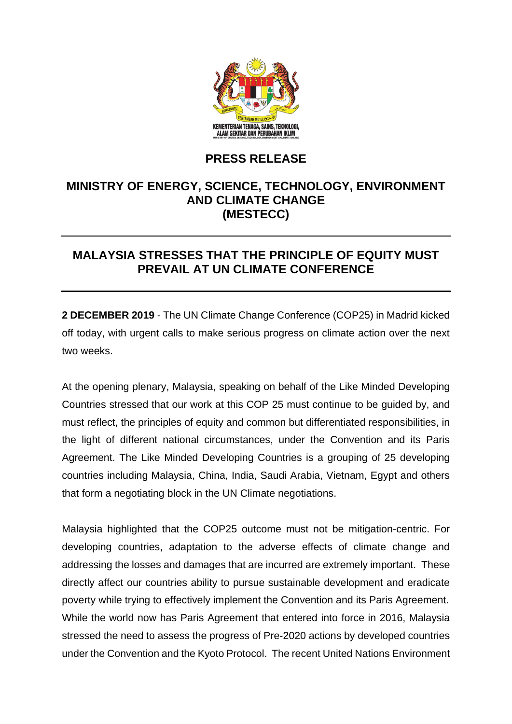

## **PRESS RELEASE**

## **MINISTRY OF ENERGY, SCIENCE, TECHNOLOGY, ENVIRONMENT AND CLIMATE CHANGE (MESTECC)**

## **MALAYSIA STRESSES THAT THE PRINCIPLE OF EQUITY MUST PREVAIL AT UN CLIMATE CONFERENCE**

**2 DECEMBER 2019** - The UN Climate Change Conference (COP25) in Madrid kicked off today, with urgent calls to make serious progress on climate action over the next two weeks.

At the opening plenary, Malaysia, speaking on behalf of the Like Minded Developing Countries stressed that our work at this COP 25 must continue to be guided by, and must reflect, the principles of equity and common but differentiated responsibilities, in the light of different national circumstances, under the Convention and its Paris Agreement. The Like Minded Developing Countries is a grouping of 25 developing countries including Malaysia, China, India, Saudi Arabia, Vietnam, Egypt and others that form a negotiating block in the UN Climate negotiations.

Malaysia highlighted that the COP25 outcome must not be mitigation-centric. For developing countries, adaptation to the adverse effects of climate change and addressing the losses and damages that are incurred are extremely important. These directly affect our countries ability to pursue sustainable development and eradicate poverty while trying to effectively implement the Convention and its Paris Agreement. While the world now has Paris Agreement that entered into force in 2016, Malaysia stressed the need to assess the progress of Pre-2020 actions by developed countries under the Convention and the Kyoto Protocol. The recent United Nations Environment